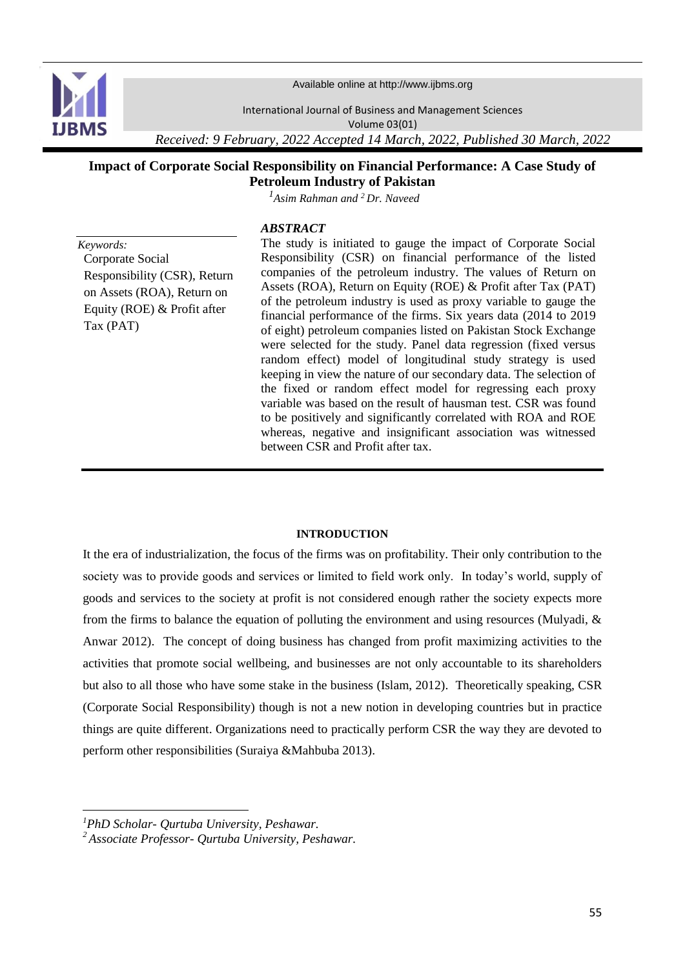

Available online at http://www.ijbms.org

International Journal of Business and Management Sciences Volume 03(01)

*Received: 9 February, 2022 Accepted 14 March, 2022, Published 30 March, 2022*

# **Impact of Corporate Social Responsibility on Financial Performance: A Case Study of Petroleum Industry of Pakistan**

*<sup>1</sup>Asim Rahman and <sup>2</sup>Dr. Naveed*

## *ABSTRACT*

*Keywords:* Corporate Social Responsibility (CSR), Return on Assets (ROA), Return on Equity (ROE) & Profit after Tax (PAT)

The study is initiated to gauge the impact of Corporate Social Responsibility (CSR) on financial performance of the listed companies of the petroleum industry. The values of Return on Assets (ROA), Return on Equity (ROE) & Profit after Tax (PAT) of the petroleum industry is used as proxy variable to gauge the financial performance of the firms. Six years data (2014 to 2019 of eight) petroleum companies listed on Pakistan Stock Exchange were selected for the study. Panel data regression (fixed versus random effect) model of longitudinal study strategy is used keeping in view the nature of our secondary data. The selection of the fixed or random effect model for regressing each proxy variable was based on the result of hausman test. CSR was found to be positively and significantly correlated with ROA and ROE whereas, negative and insignificant association was witnessed between CSR and Profit after tax.

### **INTRODUCTION**

It the era of industrialization, the focus of the firms was on profitability. Their only contribution to the society was to provide goods and services or limited to field work only. In today's world, supply of goods and services to the society at profit is not considered enough rather the society expects more from the firms to balance the equation of polluting the environment and using resources (Mulyadi, & Anwar 2012). The concept of doing business has changed from profit maximizing activities to the activities that promote social wellbeing, and businesses are not only accountable to its shareholders but also to all those who have some stake in the business (Islam, 2012). Theoretically speaking, CSR (Corporate Social Responsibility) though is not a new notion in developing countries but in practice things are quite different. Organizations need to practically perform CSR the way they are devoted to perform other responsibilities (Suraiya &Mahbuba 2013).

1

*<sup>1</sup>PhD Scholar- Qurtuba University, Peshawar.*

*<sup>2</sup>Associate Professor- Qurtuba University, Peshawar.*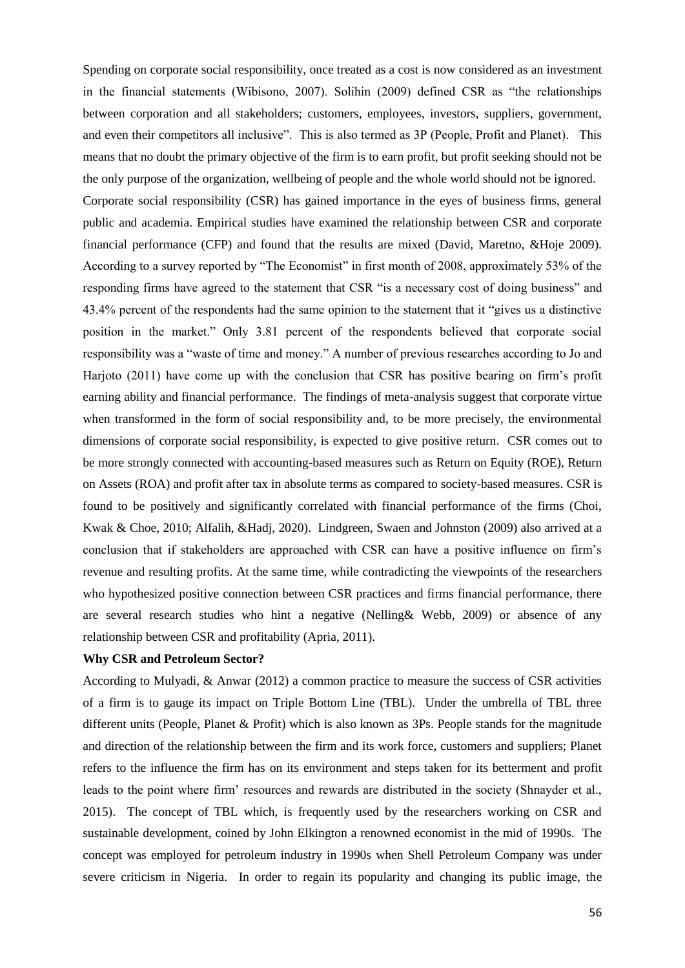Spending on corporate social responsibility, once treated as a cost is now considered as an investment in the financial statements (Wibisono, 2007). Solihin (2009) defined CSR as "the relationships between corporation and all stakeholders; customers, employees, investors, suppliers, government, and even their competitors all inclusive". This is also termed as 3P (People, Profit and Planet). This means that no doubt the primary objective of the firm is to earn profit, but profit seeking should not be the only purpose of the organization, wellbeing of people and the whole world should not be ignored. Corporate social responsibility (CSR) has gained importance in the eyes of business firms, general public and academia. Empirical studies have examined the relationship between CSR and corporate financial performance (CFP) and found that the results are mixed (David, Maretno, &Hoje 2009). According to a survey reported by "The Economist" in first month of 2008, approximately 53% of the responding firms have agreed to the statement that CSR "is a necessary cost of doing business" and 43.4% percent of the respondents had the same opinion to the statement that it "gives us a distinctive position in the market." Only 3.81 percent of the respondents believed that corporate social responsibility was a "waste of time and money." A number of previous researches according to Jo and Harjoto (2011) have come up with the conclusion that CSR has positive bearing on firm's profit earning ability and financial performance. The findings of meta-analysis suggest that corporate virtue when transformed in the form of social responsibility and, to be more precisely, the environmental dimensions of corporate social responsibility, is expected to give positive return. CSR comes out to be more strongly connected with accounting-based measures such as Return on Equity (ROE), Return on Assets (ROA) and profit after tax in absolute terms as compared to society-based measures. CSR is found to be positively and significantly correlated with financial performance of the firms (Choi, Kwak & Choe, 2010; Alfalih, &Hadj, 2020). Lindgreen, Swaen and Johnston (2009) also arrived at a conclusion that if stakeholders are approached with CSR can have a positive influence on firm's revenue and resulting profits. At the same time, while contradicting the viewpoints of the researchers who hypothesized positive connection between CSR practices and firms financial performance, there are several research studies who hint a negative (Nelling& Webb, 2009) or absence of any relationship between CSR and profitability (Apria, 2011).

#### **Why CSR and Petroleum Sector?**

According to Mulyadi, & Anwar (2012) a common practice to measure the success of CSR activities of a firm is to gauge its impact on Triple Bottom Line (TBL). Under the umbrella of TBL three different units (People, Planet & Profit) which is also known as 3Ps. People stands for the magnitude and direction of the relationship between the firm and its work force, customers and suppliers; Planet refers to the influence the firm has on its environment and steps taken for its betterment and profit leads to the point where firm' resources and rewards are distributed in the society (Shnayder et al., 2015). The concept of TBL which, is frequently used by the researchers working on CSR and sustainable development, coined by John Elkington a renowned economist in the mid of 1990s. The concept was employed for petroleum industry in 1990s when Shell Petroleum Company was under severe criticism in Nigeria. In order to regain its popularity and changing its public image, the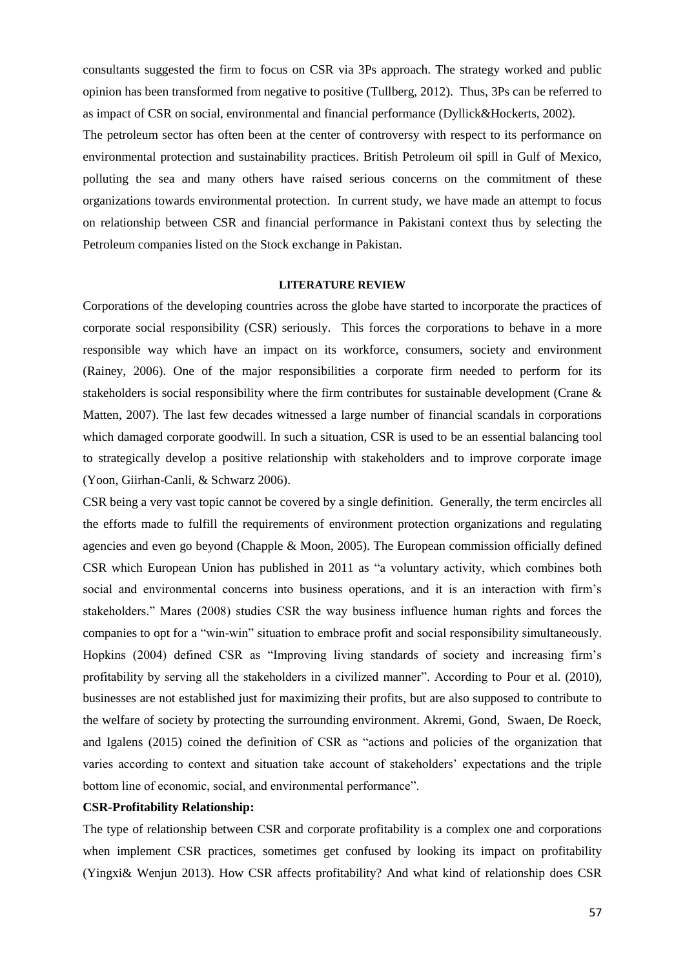consultants suggested the firm to focus on CSR via 3Ps approach. The strategy worked and public opinion has been transformed from negative to positive (Tullberg, 2012). Thus, 3Ps can be referred to as impact of CSR on social, environmental and financial performance (Dyllick&Hockerts, 2002).

The petroleum sector has often been at the center of controversy with respect to its performance on environmental protection and sustainability practices. British Petroleum oil spill in Gulf of Mexico, polluting the sea and many others have raised serious concerns on the commitment of these organizations towards environmental protection. In current study, we have made an attempt to focus on relationship between CSR and financial performance in Pakistani context thus by selecting the Petroleum companies listed on the Stock exchange in Pakistan.

### **LITERATURE REVIEW**

Corporations of the developing countries across the globe have started to incorporate the practices of corporate social responsibility (CSR) seriously. This forces the corporations to behave in a more responsible way which have an impact on its workforce, consumers, society and environment (Rainey, 2006). One of the major responsibilities a corporate firm needed to perform for its stakeholders is social responsibility where the firm contributes for sustainable development (Crane & Matten, 2007). The last few decades witnessed a large number of financial scandals in corporations which damaged corporate goodwill. In such a situation, CSR is used to be an essential balancing tool to strategically develop a positive relationship with stakeholders and to improve corporate image (Yoon, Giirhan-Canli, & Schwarz 2006).

CSR being a very vast topic cannot be covered by a single definition. Generally, the term encircles all the efforts made to fulfill the requirements of environment protection organizations and regulating agencies and even go beyond (Chapple & Moon, 2005). The European commission officially defined CSR which European Union has published in 2011 as "a voluntary activity, which combines both social and environmental concerns into business operations, and it is an interaction with firm's stakeholders." Mares (2008) studies CSR the way business influence human rights and forces the companies to opt for a "win-win" situation to embrace profit and social responsibility simultaneously. Hopkins (2004) defined CSR as "Improving living standards of society and increasing firm's profitability by serving all the stakeholders in a civilized manner". According to Pour et al. (2010), businesses are not established just for maximizing their profits, but are also supposed to contribute to the welfare of society by protecting the surrounding environment. Akremi, Gond, Swaen, De Roeck, and Igalens (2015) coined the definition of CSR as "actions and policies of the organization that varies according to context and situation take account of stakeholders' expectations and the triple bottom line of economic, social, and environmental performance".

## **CSR-Profitability Relationship:**

The type of relationship between CSR and corporate profitability is a complex one and corporations when implement CSR practices, sometimes get confused by looking its impact on profitability (Yingxi& Wenjun 2013). How CSR affects profitability? And what kind of relationship does CSR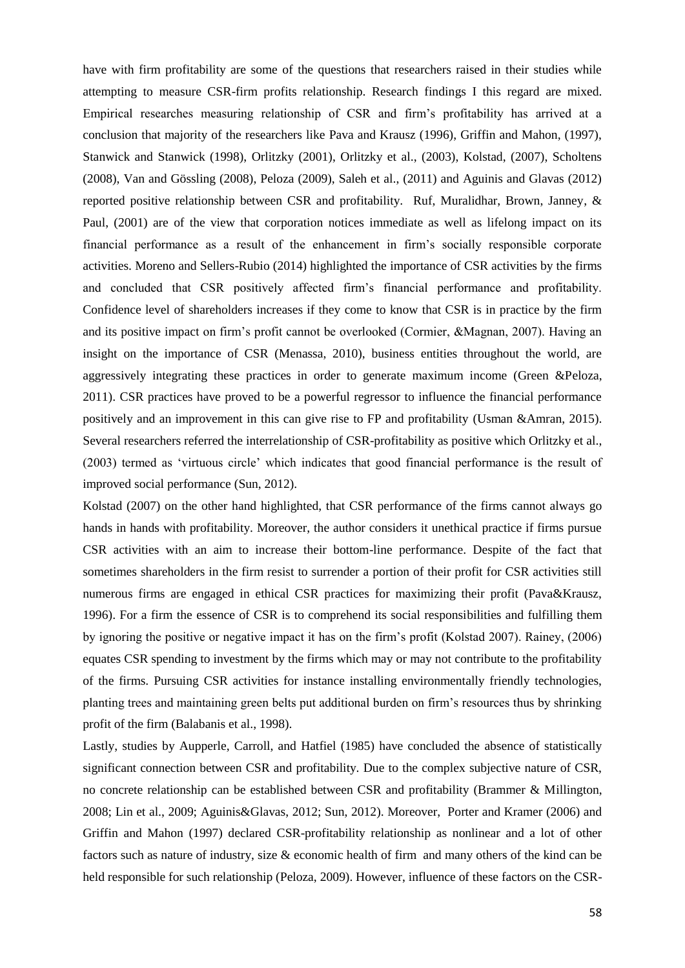have with firm profitability are some of the questions that researchers raised in their studies while attempting to measure CSR-firm profits relationship. Research findings I this regard are mixed. Empirical researches measuring relationship of CSR and firm's profitability has arrived at a conclusion that majority of the researchers like Pava and Krausz (1996), Griffin and Mahon, (1997), Stanwick and Stanwick (1998), Orlitzky (2001), Orlitzky et al., (2003), Kolstad, (2007), Scholtens (2008), Van and Gössling (2008), Peloza (2009), Saleh et al., (2011) and Aguinis and Glavas (2012) reported positive relationship between CSR and profitability. Ruf, Muralidhar, Brown, Janney, & Paul, (2001) are of the view that corporation notices immediate as well as lifelong impact on its financial performance as a result of the enhancement in firm's socially responsible corporate activities. Moreno and Sellers-Rubio (2014) highlighted the importance of CSR activities by the firms and concluded that CSR positively affected firm's financial performance and profitability. Confidence level of shareholders increases if they come to know that CSR is in practice by the firm and its positive impact on firm's profit cannot be overlooked (Cormier, &Magnan, 2007). Having an insight on the importance of CSR (Menassa, 2010), business entities throughout the world, are aggressively integrating these practices in order to generate maximum income (Green &Peloza, 2011). CSR practices have proved to be a powerful regressor to influence the financial performance positively and an improvement in this can give rise to FP and profitability (Usman &Amran, 2015). Several researchers referred the interrelationship of CSR-profitability as positive which Orlitzky et al., (2003) termed as 'virtuous circle' which indicates that good financial performance is the result of improved social performance (Sun, 2012).

Kolstad (2007) on the other hand highlighted, that CSR performance of the firms cannot always go hands in hands with profitability. Moreover, the author considers it unethical practice if firms pursue CSR activities with an aim to increase their bottom-line performance. Despite of the fact that sometimes shareholders in the firm resist to surrender a portion of their profit for CSR activities still numerous firms are engaged in ethical CSR practices for maximizing their profit (Pava&Krausz, 1996). For a firm the essence of CSR is to comprehend its social responsibilities and fulfilling them by ignoring the positive or negative impact it has on the firm's profit (Kolstad 2007). Rainey, (2006) equates CSR spending to investment by the firms which may or may not contribute to the profitability of the firms. Pursuing CSR activities for instance installing environmentally friendly technologies, planting trees and maintaining green belts put additional burden on firm's resources thus by shrinking profit of the firm (Balabanis et al., 1998).

Lastly, studies by Aupperle, Carroll, and Hatfiel (1985) have concluded the absence of statistically significant connection between CSR and profitability. Due to the complex subjective nature of CSR, no concrete relationship can be established between CSR and profitability (Brammer & Millington, 2008; Lin et al., 2009; Aguinis&Glavas, 2012; Sun, 2012). Moreover, Porter and Kramer (2006) and Griffin and Mahon (1997) declared CSR-profitability relationship as nonlinear and a lot of other factors such as nature of industry, size & economic health of firm and many others of the kind can be held responsible for such relationship (Peloza, 2009). However, influence of these factors on the CSR-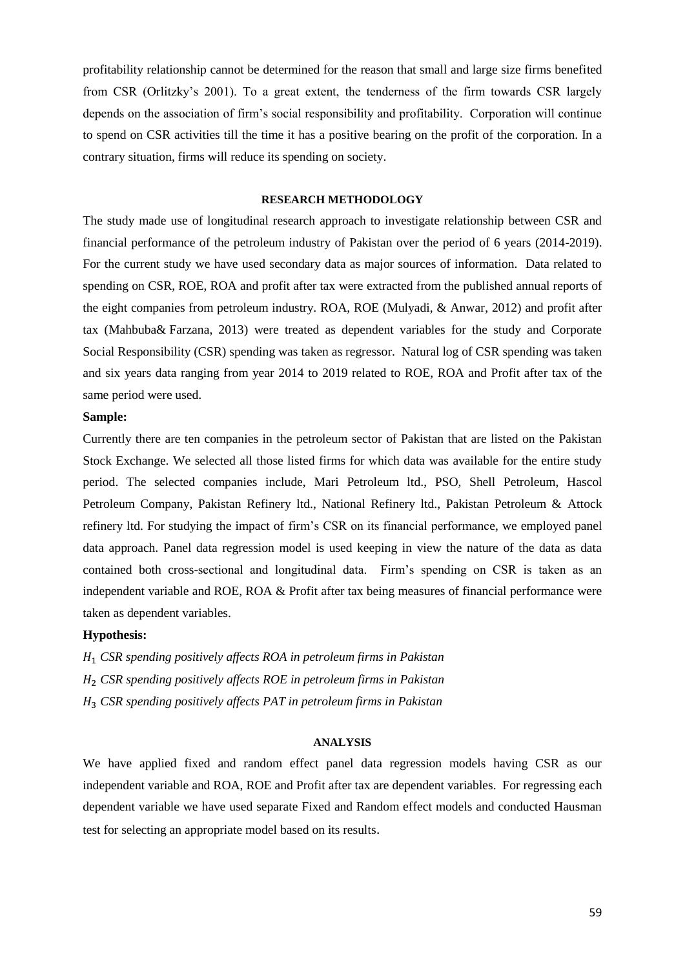profitability relationship cannot be determined for the reason that small and large size firms benefited from CSR (Orlitzky's 2001). To a great extent, the tenderness of the firm towards CSR largely depends on the association of firm's social responsibility and profitability. Corporation will continue to spend on CSR activities till the time it has a positive bearing on the profit of the corporation. In a contrary situation, firms will reduce its spending on society.

### **RESEARCH METHODOLOGY**

The study made use of longitudinal research approach to investigate relationship between CSR and financial performance of the petroleum industry of Pakistan over the period of 6 years (2014-2019). For the current study we have used secondary data as major sources of information. Data related to spending on CSR, ROE, ROA and profit after tax were extracted from the published annual reports of the eight companies from petroleum industry. ROA, ROE (Mulyadi, & Anwar, 2012) and profit after tax (Mahbuba& [Farzana,](https://scholar.google.com.pk/citations?user=E01c-jUAAAAJ&hl=en&oi=sra) 2013) were treated as dependent variables for the study and Corporate Social Responsibility (CSR) spending was taken as regressor. Natural log of CSR spending was taken and six years data ranging from year 2014 to 2019 related to ROE, ROA and Profit after tax of the same period were used.

### **Sample:**

Currently there are ten companies in the petroleum sector of Pakistan that are listed on the Pakistan Stock Exchange. We selected all those listed firms for which data was available for the entire study period. The selected companies include, Mari Petroleum ltd., PSO, Shell Petroleum, Hascol Petroleum Company, Pakistan Refinery ltd., National Refinery ltd., Pakistan Petroleum & Attock refinery ltd. For studying the impact of firm's CSR on its financial performance, we employed panel data approach. Panel data regression model is used keeping in view the nature of the data as data contained both cross-sectional and longitudinal data. Firm's spending on CSR is taken as an independent variable and ROE, ROA & Profit after tax being measures of financial performance were taken as dependent variables.

### **Hypothesis:**

<sup>1</sup> *CSR spending positively affects ROA in petroleum firms in Pakistan*  <sup>2</sup> *CSR spending positively affects ROE in petroleum firms in Pakistan*  <sup>3</sup> *CSR spending positively affects PAT in petroleum firms in Pakistan* 

#### **ANALYSIS**

We have applied fixed and random effect panel data regression models having CSR as our independent variable and ROA, ROE and Profit after tax are dependent variables. For regressing each dependent variable we have used separate Fixed and Random effect models and conducted Hausman test for selecting an appropriate model based on its results.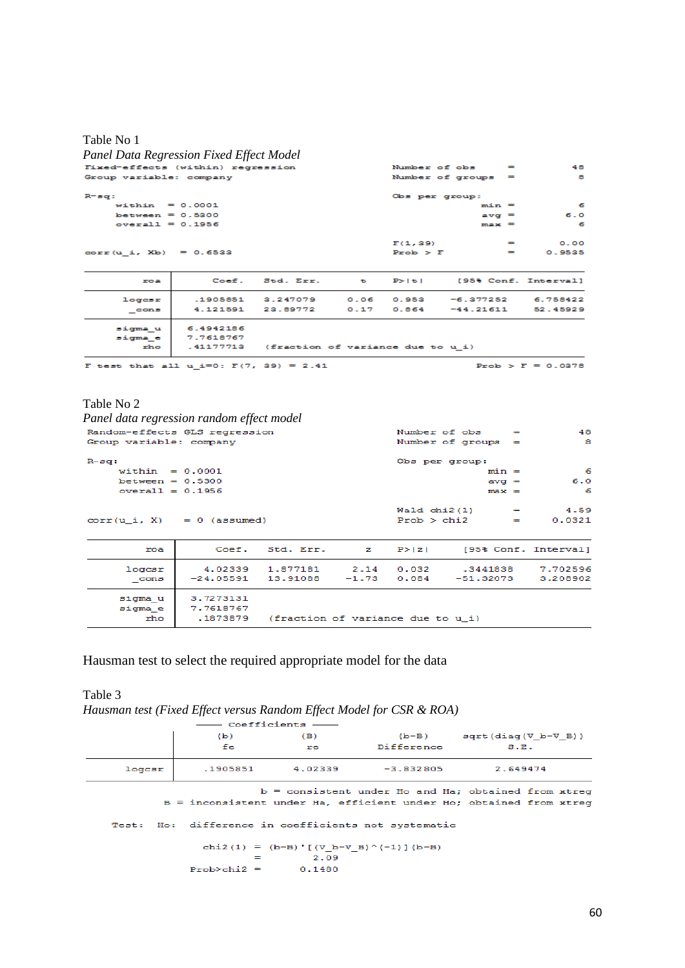# Table No 1

| Panel Data Regression Fixed Effect Model    |           |                                             |              |                |                      |                      |
|---------------------------------------------|-----------|---------------------------------------------|--------------|----------------|----------------------|----------------------|
| Fixed-effects (within) regression           |           |                                             |              | Number of obs  | $=$                  | 48                   |
| Group variable: company                     |           |                                             |              |                | Number of groups =   | 8.                   |
| $R = sq:$                                   |           |                                             |              | Obs per group: |                      |                      |
| within $= 0.0001$                           |           |                                             |              |                | $min =$              | - 6                  |
| between = $0.5300$                          |           |                                             |              |                | $\text{avg}$ =       | 6.0                  |
| $overall = 0.1956$                          |           |                                             |              |                | $max =$              | 6                    |
|                                             |           |                                             |              | F(1, 39)       | $=$                  | 0.00                 |
| $corr(u_i, Xb) = 0.6533$                    |           |                                             |              | Prob > F       | $=$                  | 0.9535               |
| roa                                         | Coef.     | Std. Err.                                   | $\mathbf{t}$ | P >  t         | [95% Conf. Interval] |                      |
| logesr                                      | .1905851  | 3.247079                                    | 0.06         | 0.953          | $-6.377252$          | 6.758422             |
| cons                                        | 4.121591  | 23.89772                                    | 0.17         | 0.864          | $-44.21611$          | 52.45929             |
| sigma u                                     | 6.4942186 |                                             |              |                |                      |                      |
| sigma e                                     | 7.7618767 |                                             |              |                |                      |                      |
| rho                                         |           | .41177713 (fraction of variance due to u_i) |              |                |                      |                      |
| F test that all $u_i=0$ : $F(7, 39) = 2.41$ |           |                                             |              |                |                      | $Prob > F = 0.0378$  |
| Table No 2                                  |           |                                             |              |                |                      |                      |
| Panel data regression random effect model   |           |                                             |              |                |                      |                      |
| Random-effects GLS regression               |           |                                             |              | Number of obs  | $=$                  | 48                   |
| Group variable: company                     |           |                                             |              |                | Number of groups $=$ | 8                    |
| $R-50$ :                                    |           |                                             |              | Obs per group: |                      |                      |
| within $= 0.0001$                           |           |                                             |              |                | $min =$              | 6                    |
| between = $0.5300$                          |           |                                             |              |                | $av\alpha =$         | 6.0                  |
| $overall = 0.1956$                          |           |                                             |              |                | $max =$              | 6                    |
|                                             |           |                                             |              | Wald $chi2(1)$ | $=$                  | 4.59                 |
| $corr(u i, X) = 0$ (assumed)                |           |                                             |              | Prob > chi2    | $=$                  | 0.0321               |
| roa                                         |           | Coef. Std. Err.                             | z            | P >  z         |                      | [95% Conf. Interval] |
| logcsr                                      | 4.02339   | 1.877181                                    | 2.14         | 0.032          | .3441838             | 7.702596             |

| tuu col<br>cons |           | tiuzjje ituliel zilt utujz        |  | $-24.05591$ 13.91088 $-1.73$ 0.084 $-51.32073$ 3.208902 | . |
|-----------------|-----------|-----------------------------------|--|---------------------------------------------------------|---|
| sigma u         | 3.7273131 |                                   |  |                                                         |   |
| sigma e         | 7.7618767 |                                   |  |                                                         |   |
| rho             | .1873879  | (fraction of variance due to u i) |  |                                                         |   |

# Hausman test to select the required appropriate model for the data

Table 3 *Hausman test (Fixed Effect versus Random Effect Model for CSR & ROA)*

|        |                                                                                                                             | — Coefficients —— |                                                     |                                |  |  |  |  |  |
|--------|-----------------------------------------------------------------------------------------------------------------------------|-------------------|-----------------------------------------------------|--------------------------------|--|--|--|--|--|
|        | (b)                                                                                                                         | (B)               |                                                     | $(b-B)$ sqrt $(diag(V b-V B))$ |  |  |  |  |  |
|        | fe                                                                                                                          | <b>re</b>         | Difference                                          | S.E.                           |  |  |  |  |  |
| logcsr |                                                                                                                             |                   | $-3.832805$ $-3.832805$                             | 2.649474                       |  |  |  |  |  |
|        | $b =$ consistent under Ho and Ha; obtained from xtreq<br>B = inconsistent under Ha, efficient under Ho; obtained from xtreq |                   |                                                     |                                |  |  |  |  |  |
|        |                                                                                                                             |                   | Test: Ho: difference in coefficients not systematic |                                |  |  |  |  |  |
|        | $=$<br>$Prob > chi2 =$                                                                                                      | 2.09<br>0.1480    | chi2(1) = $(b-B)'$ $($ V b-V B) $^(-1)$ $(b-B)$     |                                |  |  |  |  |  |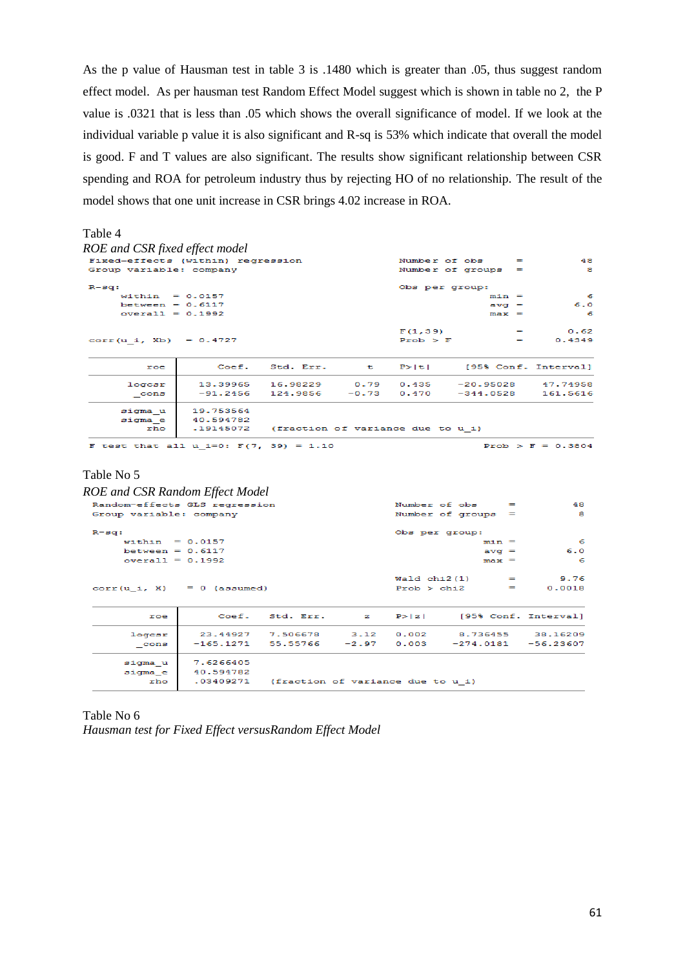As the p value of Hausman test in table 3 is .1480 which is greater than .05, thus suggest random effect model. As per hausman test Random Effect Model suggest which is shown in table no 2, the P value is .0321 that is less than .05 which shows the overall significance of model. If we look at the individual variable p value it is also significant and R-sq is 53% which indicate that overall the model is good. F and T values are also significant. The results show significant relationship between CSR spending and ROA for petroleum industry thus by rejecting HO of no relationship. The result of the model shows that one unit increase in CSR brings 4.02 increase in ROA.

## Table 4

| ROE and CSR fixed effect model    |           |                                                 |                |                      |                          |                      |
|-----------------------------------|-----------|-------------------------------------------------|----------------|----------------------|--------------------------|----------------------|
| Fixed-effects (within) regression |           |                                                 | Number of obs  |                      | $=$                      | 48                   |
| Group variable: company           |           |                                                 |                | Number of groups $=$ |                          | а                    |
| $R - sq$ :                        |           |                                                 | Obs per group: |                      |                          |                      |
| within = $0.0157$                 |           |                                                 |                | $min =$              |                          | -6                   |
| between = $0.6117$                |           |                                                 |                | $av\alpha =$         |                          | 6.0                  |
| $overall = 0.1992$                |           |                                                 |                | $max =$              |                          | -6                   |
|                                   |           |                                                 | F(1, 39)       |                      | $\overline{\phantom{a}}$ | 0.62                 |
| corr (u i, Xb) = $0.4727$         |           |                                                 | Proof > F      |                      |                          | 0.4349               |
| roe                               |           | Coef. Std. Err. t                               | P >  t         |                      |                          | [95% Conf. Interval] |
| logcsr                            |           | 13.39965 16.98229 0.79 0.435 -20.95028 47.74958 |                |                      |                          |                      |
| $_{\text{cons}}$                  |           | $-91.2456$ 124.9856 $-0.73$ 0.470 $-344.0528$   |                |                      |                          | 161.5616             |
| sigma u                           | 19.753564 |                                                 |                |                      |                          |                      |
| sigma e                           | 40.594782 |                                                 |                |                      |                          |                      |
| rho                               | .19145072 | (fraction of variance due to u i)               |                |                      |                          |                      |
|                                   |           |                                                 |                |                      |                          |                      |

F test that all  $u_i=0$ :  $F(7, 39) = 1.10$ 

Prob >  $F = 0.3804$ 

### Table No 5

| ROE and CSR Random Effect Model |                        |                                             |                               |                |                                                |                |
|---------------------------------|------------------------|---------------------------------------------|-------------------------------|----------------|------------------------------------------------|----------------|
| Random-effects GLS regression   |                        |                                             |                               |                | Number of obs<br>$=$                           | 48             |
| Group variable: company         |                        |                                             |                               |                | Number of groups $=$                           | 8              |
| $R - sq:$                       |                        |                                             |                               | Obs per group: |                                                |                |
| within $= 0.0157$               |                        |                                             |                               |                | $min =$                                        | -6             |
| between $= 0.6117$              |                        |                                             |                               |                | $\mathbf{a} \mathbf{v} \mathbf{q} =$           | 6.0            |
| $overall = 0.1992$              |                        |                                             |                               |                | $max =$                                        | 6              |
| $corr(u i, X) = 0$ (assumed)    |                        |                                             |                               |                | $Wald chi2(1) =$<br>$Prob > chi2$ =            | 9.76<br>0.0018 |
| roe                             |                        | Coef, Std. Err.                             | $\mathbf{z}$ and $\mathbf{z}$ |                | $P >  z $ [95% Conf. Interval]                 |                |
| logcsr                          |                        |                                             |                               |                | 23.44927 7.506678 3.12 0.002 8.736455 38.16209 |                |
| cons                            |                        | $-165.1271$ 55.55766                        | $-2.97$                       | 0.003          | $-274.0181 - 56.23607$                         |                |
| sigma u<br>sigma e              | 7.6266405<br>40.594782 |                                             |                               |                |                                                |                |
| $r$ <sub>ho</sub>               |                        | .03409271 (fraction of variance due to u i) |                               |                |                                                |                |

## Table No 6 *Hausman test for Fixed Effect versusRandom Effect Model*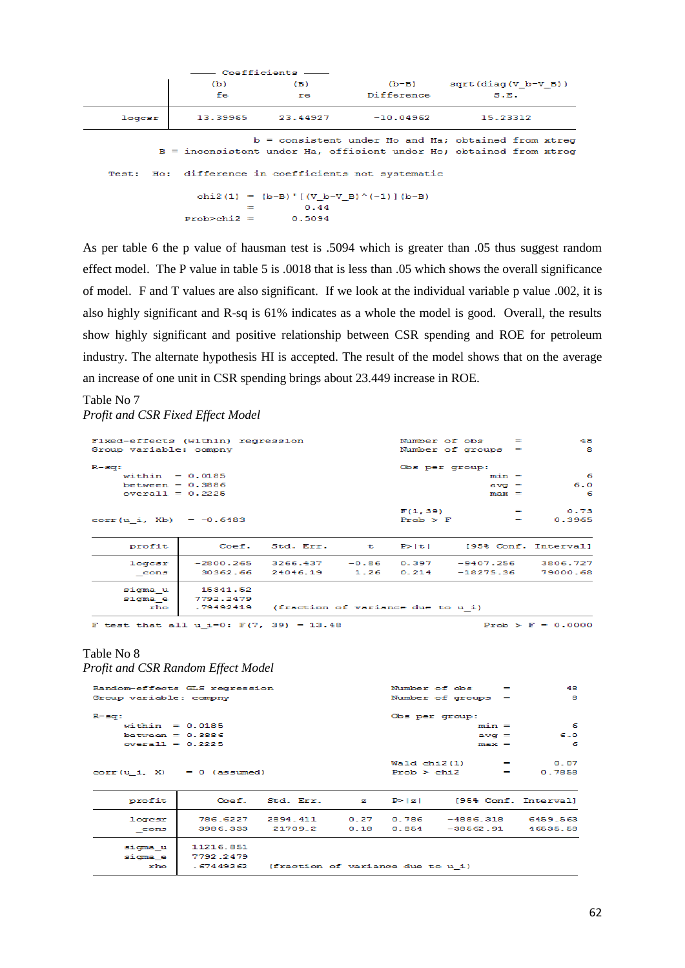|        |                                                                                                                             | — Coefficients —— |                                                     |                                |  |  |  |  |  |
|--------|-----------------------------------------------------------------------------------------------------------------------------|-------------------|-----------------------------------------------------|--------------------------------|--|--|--|--|--|
|        | (b)                                                                                                                         | (B)               |                                                     | $(b-B)$ sqrt $(diaq(V b-V B))$ |  |  |  |  |  |
|        | fe                                                                                                                          | re                | Difference                                          | S.E.                           |  |  |  |  |  |
| logcsr |                                                                                                                             |                   | 13.39965 23.44927 -10.04962                         | 15.23312                       |  |  |  |  |  |
|        | $b =$ consistent under Ho and Ha; obtained from xtreq<br>B = inconsistent under Ha, efficient under Ho; obtained from xtreq |                   |                                                     |                                |  |  |  |  |  |
|        |                                                                                                                             |                   | Test: Ho: difference in coefficients not systematic |                                |  |  |  |  |  |
|        |                                                                                                                             | 0.44              | chi2(1) = $(b-B)'$ $(V b-V B)'(-1)$ $(b-B)$         |                                |  |  |  |  |  |
|        | $Prob > chi2 = 0.5094$                                                                                                      |                   |                                                     |                                |  |  |  |  |  |

As per table 6 the p value of hausman test is .5094 which is greater than .05 thus suggest random effect model. The P value in table 5 is .0018 that is less than .05 which shows the overall significance of model. F and T values are also significant. If we look at the individual variable p value .002, it is also highly significant and R-sq is 61% indicates as a whole the model is good. Overall, the results show highly significant and positive relationship between CSR spending and ROE for petroleum industry. The alternate hypothesis HI is accepted. The result of the model shows that on the average an increase of one unit in CSR spending brings about 23.449 increase in ROE.

# Table No 7

*Profit and CSR Fixed Effect Model*

| Fixed-effects (within) regression |           |                                   |         |          | Number of obs        | $\overline{\phantom{0}}$ | 48                       |
|-----------------------------------|-----------|-----------------------------------|---------|----------|----------------------|--------------------------|--------------------------|
| Group variable: compny            |           |                                   |         |          | Number of groups $=$ |                          | -8                       |
| R-sa:                             |           |                                   |         |          | Obs per group:       |                          |                          |
| $widthin = 0.0185$                |           |                                   |         |          |                      | $min =$                  | - 6                      |
| between = $0.3886$                |           |                                   |         |          |                      | $av0$ =                  | 6.0                      |
| $overall = 0.2225$                |           |                                   |         |          |                      | $max =$                  | -6                       |
|                                   |           |                                   |         | F(1, 39) |                      |                          | 0.73                     |
| corr (u i, Xb) = $-0.6483$        |           |                                   |         | Prob > F |                      |                          | 0.3965                   |
| profit                            |           | Coef. Std. Err. $t$ P> $ t $      |         |          |                      |                          | [95% Conf. Interval]     |
| logcsr                            |           | $-2800.265$ 3266.437              | $-0.86$ |          |                      |                          | 0.397 -9407.256 3806.727 |
| cons                              |           | 30362.66 24046.19                 | 1.26    |          | $0.214 -18275.36$    |                          | 79000.68                 |
| sigma u                           | 15341.52  |                                   |         |          |                      |                          |                          |
| sigma e                           | 7792.2479 |                                   |         |          |                      |                          |                          |
| rho                               | .79492419 | (fraction of variance due to u i) |         |          |                      |                          |                          |

F test that all  $u_i=0$ :  $F(7, 39) = 13.48$ 

Prob >  $F = 0.0000$ 

# Table No 8

*Profit and CSR Random Effect Model*

| Random-effects GLS regression |           |                                             |      |                | Number of obs        | $=$ | 48                            |
|-------------------------------|-----------|---------------------------------------------|------|----------------|----------------------|-----|-------------------------------|
| Group variable: compny        |           |                                             |      |                | Number of groups $=$ |     | 8                             |
| $R - sq$ :                    |           |                                             |      | Obs per group: |                      |     |                               |
| within $= 0.0185$             |           |                                             |      |                | $min =$              |     | - 6                           |
| between $= 0.3886$            |           |                                             |      |                | $avq =$              |     | 6.0                           |
| $overall = 0.2225$            |           |                                             |      |                | $max =$              |     | - 6                           |
|                               |           |                                             |      |                |                      |     |                               |
|                               |           |                                             |      |                | $Waldchi2(1) =$      |     | 0.07                          |
| $corr(u i, X) = 0$ (assumed)  |           |                                             |      |                | $Prob > chi2$ =      |     | 0.7858                        |
|                               |           |                                             |      |                |                      |     |                               |
| profit                        |           | Coef. Std. Err. z                           |      | P >  z         |                      |     | [95% Conf. Interval]          |
| logesr                        | 786.6227  | 2894.411                                    |      |                |                      |     | 0.27 0.786 -4886.318 6459.563 |
| cons                          | 3986.333  | 21709.2                                     | 0.18 | 0.854          | -38562.91            |     | 46535.58                      |
| sigma u                       | 11216.851 |                                             |      |                |                      |     |                               |
| sigma e                       | 7792.2479 |                                             |      |                |                      |     |                               |
| rho                           |           | .67449262 (fraction of variance due to u i) |      |                |                      |     |                               |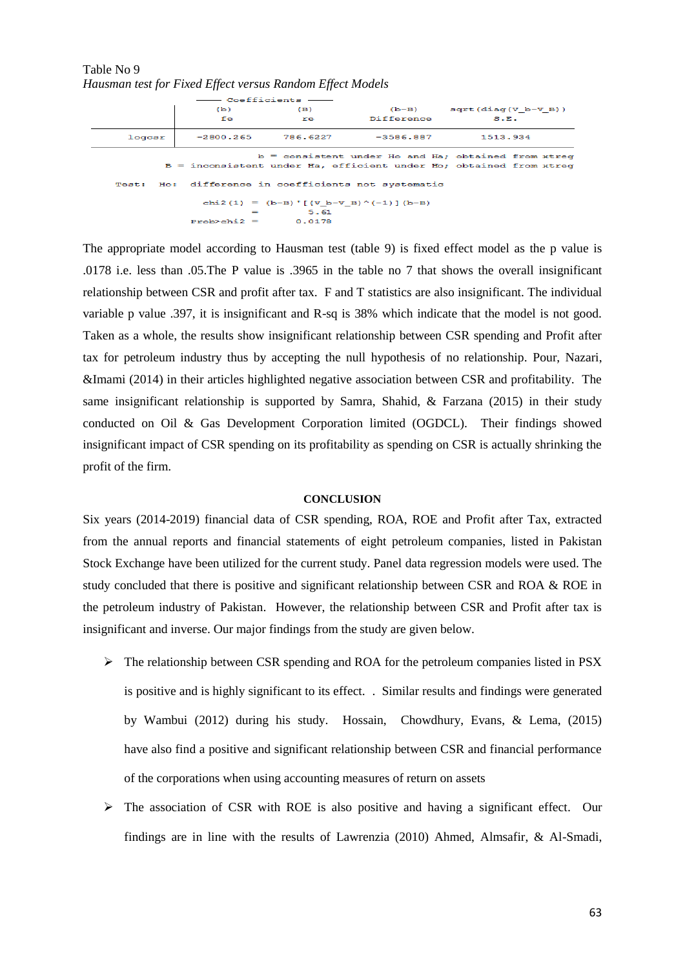| Table No 9                                                |  |  |  |  |
|-----------------------------------------------------------|--|--|--|--|
| Hausman test for Fixed Effect versus Random Effect Models |  |  |  |  |

 $G = F \in \mathbb{R}$ 

|        | (b)             | (B)       |                                                     | $(b-B)$ sqrt $(diaq(V b-V B))$                                                                                              |
|--------|-----------------|-----------|-----------------------------------------------------|-----------------------------------------------------------------------------------------------------------------------------|
|        | fe              | <b>re</b> | Difference                                          | S.F.                                                                                                                        |
| logcsr |                 |           | $-2800.265$ 786.6227 $-3586.887$                    | 1513.934                                                                                                                    |
|        |                 |           |                                                     | $b =$ consistent under Ho and Ha; obtained from xtreq<br>B = inconsistent under Ha, efficient under Ho; obtained from xtreq |
|        |                 |           | Test: Ho: difference in coefficients not systematic |                                                                                                                             |
|        |                 | $5 - 61$  | chi2(1) = (b-B) $[(V b - V B)^{(-1)}] (b - B)$      |                                                                                                                             |
|        | $Prob > chi2 =$ | 0.0178    |                                                     |                                                                                                                             |

The appropriate model according to Hausman test (table 9) is fixed effect model as the p value is .0178 i.e. less than .05.The P value is .3965 in the table no 7 that shows the overall insignificant relationship between CSR and profit after tax. F and T statistics are also insignificant. The individual variable p value .397, it is insignificant and R-sq is 38% which indicate that the model is not good. Taken as a whole, the results show insignificant relationship between CSR spending and Profit after tax for petroleum industry thus by accepting the null hypothesis of no relationship. Pour, Nazari, &Imami (2014) in their articles highlighted negative association between CSR and profitability. The same insignificant relationship is supported by Samra, Shahid, & Farzana (2015) in their study conducted on Oil & Gas Development Corporation limited (OGDCL). Their findings showed insignificant impact of CSR spending on its profitability as spending on CSR is actually shrinking the profit of the firm.

#### **CONCLUSION**

Six years (2014-2019) financial data of CSR spending, ROA, ROE and Profit after Tax, extracted from the annual reports and financial statements of eight petroleum companies, listed in Pakistan Stock Exchange have been utilized for the current study. Panel data regression models were used. The study concluded that there is positive and significant relationship between CSR and ROA & ROE in the petroleum industry of Pakistan. However, the relationship between CSR and Profit after tax is insignificant and inverse. Our major findings from the study are given below.

- $\triangleright$  The relationship between CSR spending and ROA for the petroleum companies listed in PSX is positive and is highly significant to its effect. . Similar results and findings were generated by Wambui (2012) during his study. Hossain, Chowdhury, Evans, & Lema, (2015) have also find a positive and significant relationship between CSR and financial performance of the corporations when using accounting measures of return on assets
- ➢ The association of CSR with ROE is also positive and having a significant effect. Our findings are in line with the results of Lawrenzia (2010) Ahmed, Almsafir, & Al-Smadi,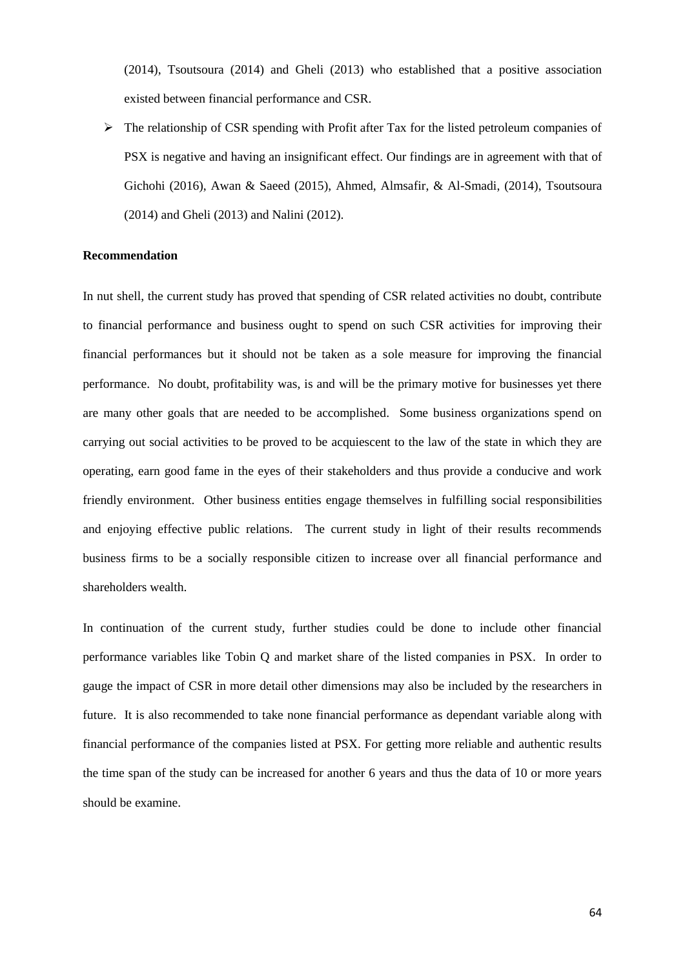(2014), Tsoutsoura (2014) and Gheli (2013) who established that a positive association existed between financial performance and CSR.

➢ The relationship of CSR spending with Profit after Tax for the listed petroleum companies of PSX is negative and having an insignificant effect. Our findings are in agreement with that of Gichohi (2016), Awan & Saeed (2015), Ahmed, Almsafir, & Al-Smadi, (2014), Tsoutsoura (2014) and Gheli (2013) and Nalini (2012).

### **Recommendation**

In nut shell, the current study has proved that spending of CSR related activities no doubt, contribute to financial performance and business ought to spend on such CSR activities for improving their financial performances but it should not be taken as a sole measure for improving the financial performance. No doubt, profitability was, is and will be the primary motive for businesses yet there are many other goals that are needed to be accomplished. Some business organizations spend on carrying out social activities to be proved to be acquiescent to the law of the state in which they are operating, earn good fame in the eyes of their stakeholders and thus provide a conducive and work friendly environment. Other business entities engage themselves in fulfilling social responsibilities and enjoying effective public relations. The current study in light of their results recommends business firms to be a socially responsible citizen to increase over all financial performance and shareholders wealth.

In continuation of the current study, further studies could be done to include other financial performance variables like Tobin Q and market share of the listed companies in PSX. In order to gauge the impact of CSR in more detail other dimensions may also be included by the researchers in future. It is also recommended to take none financial performance as dependant variable along with financial performance of the companies listed at PSX. For getting more reliable and authentic results the time span of the study can be increased for another 6 years and thus the data of 10 or more years should be examine.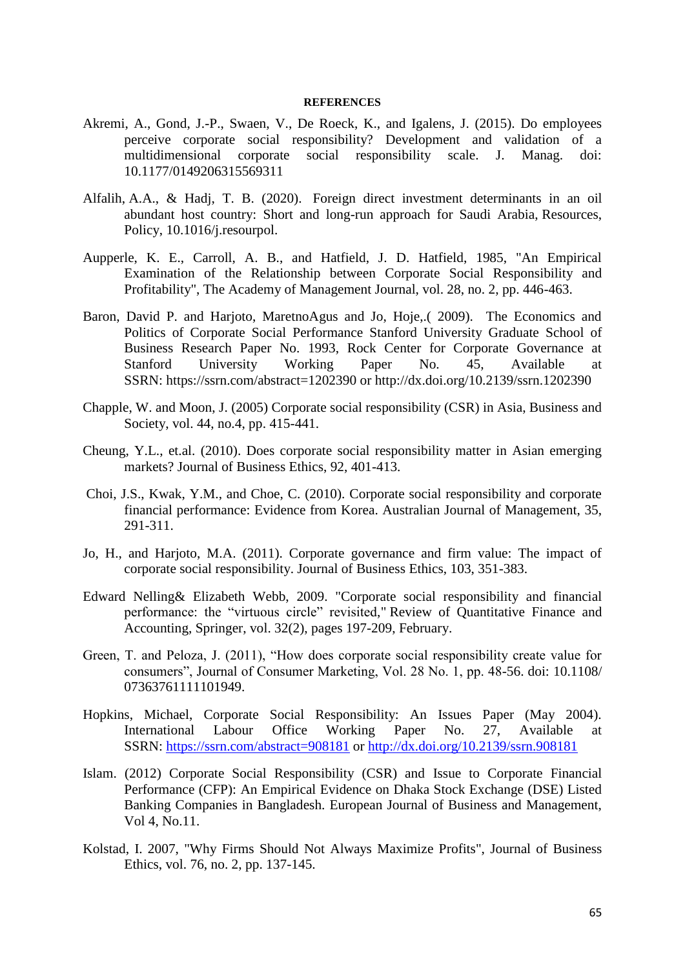#### **REFERENCES**

- Akremi, A., Gond, J.-P., Swaen, V., De Roeck, K., and Igalens, J. (2015). Do employees perceive corporate social responsibility? Development and validation of a multidimensional corporate social responsibility scale. J. Manag. doi: 10.1177/0149206315569311
- Alfalih, A.A., & Hadj, T. B. (2020). Foreign direct investment determinants in an oil abundant host country: Short and long-run approach for Saudi Arabia, Resources, Policy, 10.1016/j.resourpol.
- Aupperle, K. E., Carroll, A. B., and Hatfield, J. D. Hatfield, 1985, "An Empirical Examination of the Relationship between Corporate Social Responsibility and Profitability", The Academy of Management Journal, vol. 28, no. 2, pp. 446-463.
- Baron, David P. and Harjoto, MaretnoAgus and Jo, Hoje,.( 2009). The Economics and Politics of Corporate Social Performance Stanford University Graduate School of Business Research Paper No. 1993, Rock Center for Corporate Governance at Stanford University Working Paper No. 45, Available at SSRN: <https://ssrn.com/abstract=1202390> or [http://dx.doi.org/10.2139/ssrn.1202390](https://dx.doi.org/10.2139/ssrn.1202390)
- Chapple, W. and Moon, J. (2005) Corporate social responsibility (CSR) in Asia, Business and Society, vol. 44, no.4, pp. 415-441.
- Cheung, Y.L., et.al. (2010). Does corporate social responsibility matter in Asian emerging markets? Journal of Business Ethics, 92, 401-413.
- Choi, J.S., Kwak, Y.M., and Choe, C. (2010). Corporate social responsibility and corporate financial performance: Evidence from Korea. Australian Journal of Management, 35, 291-311.
- Jo, H., and Harjoto, M.A. (2011). Corporate governance and firm value: The impact of corporate social responsibility. Journal of Business Ethics, 103, 351-383.
- Edward Nelling& Elizabeth Webb, 2009. ["Corporate social responsibility and financial](https://ideas.repec.org/a/kap/rqfnac/v32y2009i2p197-209.html)  [performance: the "virtuous circle" revisited,](https://ideas.repec.org/a/kap/rqfnac/v32y2009i2p197-209.html)" [Review of Quantitative Finance and](https://ideas.repec.org/s/kap/rqfnac.html)  [Accounting,](https://ideas.repec.org/s/kap/rqfnac.html) Springer, vol. 32(2), pages 197-209, February.
- Green, T. and Peloza, J. (2011), "How does corporate social responsibility create value for consumers", Journal of Consumer Marketing, Vol. 28 No. 1, pp. 48-56. doi: 10.1108/ 07363761111101949.
- Hopkins, Michael, Corporate Social Responsibility: An Issues Paper (May 2004). International Labour Office Working Paper No. 27, Available at SSRN: <https://ssrn.com/abstract=908181> or [http://dx.doi.org/10.2139/ssrn.908181](https://dx.doi.org/10.2139/ssrn.908181)
- Islam. (2012) Corporate Social Responsibility (CSR) and Issue to Corporate Financial Performance (CFP): An Empirical Evidence on Dhaka Stock Exchange (DSE) Listed Banking Companies in Bangladesh. European Journal of Business and Management, Vol 4, No.11.
- Kolstad, I. 2007, "Why Firms Should Not Always Maximize Profits", Journal of Business Ethics, vol. 76, no. 2, pp. 137-145.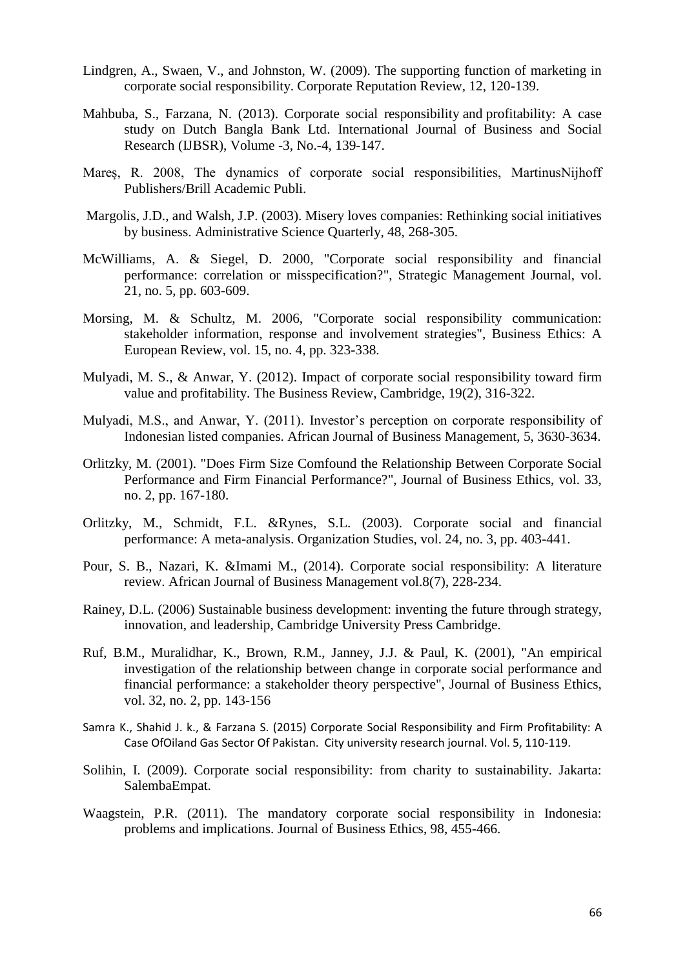- Lindgren, A., Swaen, V., and Johnston, W. (2009). The supporting function of marketing in corporate social responsibility. Corporate Reputation Review, 12, 120-139.
- Mahbuba, S., Farzana, N. (2013). [Corporate social responsibility](http://citeseerx.ist.psu.edu/viewdoc/download?doi=10.1.1.684.4729&rep=rep1&type=pdf) and profitability: A case [study on Dutch Bangla Bank Ltd.](http://citeseerx.ist.psu.edu/viewdoc/download?doi=10.1.1.684.4729&rep=rep1&type=pdf) International Journal of Business and Social Research (IJBSR), Volume -3, No.-4, 139-147.
- Mareș, R. 2008, The dynamics of corporate social responsibilities, MartinusNijhoff Publishers/Brill Academic Publi.
- Margolis, J.D., and Walsh, J.P. (2003). Misery loves companies: Rethinking social initiatives by business. Administrative Science Quarterly, 48, 268-305.
- McWilliams, A. & Siegel, D. 2000, "Corporate social responsibility and financial performance: correlation or misspecification?", Strategic Management Journal, vol. 21, no. 5, pp. 603-609.
- Morsing, M. & Schultz, M. 2006, "Corporate social responsibility communication: stakeholder information, response and involvement strategies", Business Ethics: A European Review, vol. 15, no. 4, pp. 323-338.
- Mulyadi, M. S., & Anwar, Y. (2012). Impact of corporate social responsibility toward firm value and profitability. The Business Review, Cambridge, 19(2), 316-322.
- Mulyadi, M.S., and Anwar, Y. (2011). Investor's perception on corporate responsibility of Indonesian listed companies. African Journal of Business Management, 5, 3630-3634.
- Orlitzky, M. (2001). "Does Firm Size Comfound the Relationship Between Corporate Social Performance and Firm Financial Performance?", Journal of Business Ethics, vol. 33, no. 2, pp. 167-180.
- Orlitzky, M., Schmidt, F.L. &Rynes, S.L. (2003). Corporate social and financial performance: A meta-analysis. Organization Studies, vol. 24, no. 3, pp. 403-441.
- Pour, S. B., Nazari, K. &Imami M., (2014). Corporate social responsibility: A literature review. African Journal of Business Management vol.8(7), 228-234.
- Rainey, D.L. (2006) Sustainable business development: inventing the future through strategy, innovation, and leadership, Cambridge University Press Cambridge.
- Ruf, B.M., Muralidhar, K., Brown, R.M., Janney, J.J. & Paul, K. (2001), "An empirical investigation of the relationship between change in corporate social performance and financial performance: a stakeholder theory perspective", Journal of Business Ethics, vol. 32, no. 2, pp. 143-156
- Samra K., Shahid J. k., & Farzana S. (2015) Corporate Social Responsibility and Firm Profitability: A Case OfOiland Gas Sector Of Pakistan. City university research journal. Vol. 5, 110-119.
- Solihin, I. (2009). Corporate social responsibility: from charity to sustainability. Jakarta: SalembaEmpat.
- Waagstein, P.R. (2011). The mandatory corporate social responsibility in Indonesia: problems and implications. Journal of Business Ethics, 98, 455-466.